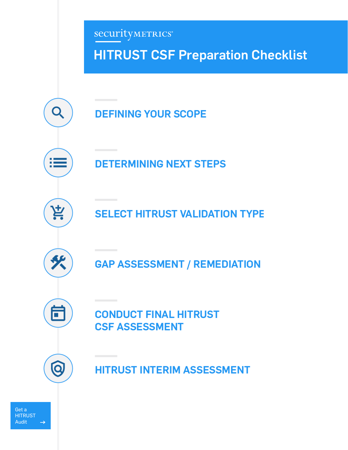SecurityMETRICS® HITRUST CSF Preparation Checklist Q **DEFINING YOUR SCOPE DETERMINING NEXT STEPS** 섣 **SELECT HITRUST VALIDATION TYPE GAP ASSESSMENT / REMEDIATION** Ē **CONDUCT FINAL HITRUST CSF ASSESSMENT** Q **HITRUST INTERIM ASSESSMENT**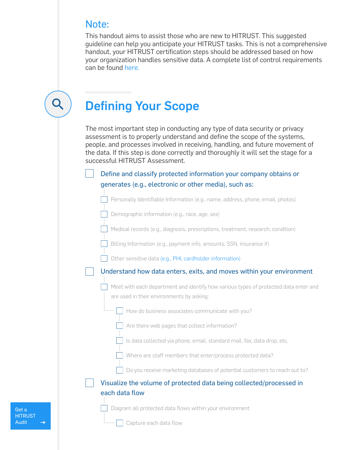### Note:

This handout aims to assist those who are new to HITRUST. This suggested guideline can help you anticipate your HITRUST tasks. This is not a comprehensive handout, your HITRUST certification steps should be addressed based on how your organization handles sensitive data. A complete list of control requirements can be found [here.](https://hitrustalliance.net/product-tool/mycsf/)

### Defining Your Scope

The most important step in conducting any type of data security or privacy assessment is to properly understand and define the scope of the systems, people, and processes involved in receiving, handling, and future movement of the data. If this step is done correctly and thoroughly it will set the stage for a successful HITRUST Assessment.

Define and classify protected information your company obtains or generates (e.g., electronic or other media), such as:

Personally Identifiable Information (e.g., name, address, phone, email, photos)

Demographic information (e.g., race, age, sex)

Medical records (e.g., diagnosis, prescriptions, treatment, research, condition)

Billing Information (e.g., payment info, amounts, SSN, insurance #)

Other sensitive data [\(e.g., PHI, cardholder information\)](https://www.securitymetrics.com/blog/how-much-credit-card-data-do-you-store-its-more-you-think)

Understand how data enters, exits, and moves within your environment

Meet with each department and identify how various types of protected data enter and are used in their environments by asking:

How do business associates communicate with you?

 $\Box$  Are there web pages that collect information?

Is data collected via phone, email, standard mail, fax, data drop, etc.

 $\Box$  Where are staff members that enter/process protected data?

 $\Box$  Do you receive marketing databases of potential customers to reach out to?

Visualize the volume of protected data being collected/processed in each data flow

Diagram all protected data flows within your environment

[Get a](https://www.securitymetrics.com/hitrust)  **HITRUST** [Audit](https://www.securitymetrics.com/hitrust)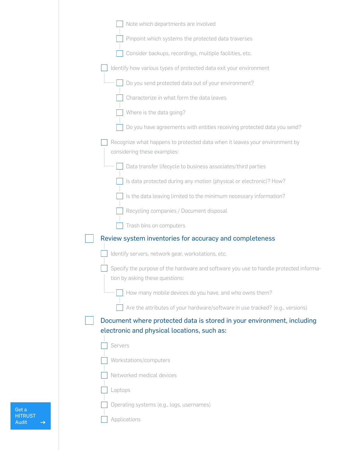| Note which departments are involved                                                                                   |
|-----------------------------------------------------------------------------------------------------------------------|
| Pinpoint which systems the protected data traverses                                                                   |
| Consider backups, recordings, multiple facilities, etc.                                                               |
| Identify how various types of protected data exit your environment                                                    |
| Do you send protected data out of your environment?                                                                   |
| Characterize in what form the data leaves                                                                             |
| Where is the data going?                                                                                              |
| Do you have agreements with entities receiving protected data you send?                                               |
| Recognize what happens to protected data when it leaves your environment by<br>considering these examples:            |
| Data transfer lifecycle to business associates/third parties                                                          |
| Is data protected during any motion (physical or electronic)? How?                                                    |
| Is the data leaving limited to the minimum necessary information?                                                     |
| Recycling companies / Document disposal                                                                               |
| Trash bins on computers                                                                                               |
| Review system inventories for accuracy and completeness                                                               |
| Identify servers, network gear, workstations, etc.                                                                    |
| Specify the purpose of the hardware and software you use to handle protected informa-                                 |
| tion by asking these questions:                                                                                       |
| How many mobile devices do you have, and who owns them?                                                               |
| Are the attributes of your hardware/software in use tracked? (e.g., versions)                                         |
| Document where protected data is stored in your environment, including<br>electronic and physical locations, such as: |
| Servers                                                                                                               |
| Workstations/computers                                                                                                |
| Networked medical devices                                                                                             |
| Laptops                                                                                                               |
| Operating systems (e.g., logs, usernames)                                                                             |
| Applications                                                                                                          |
|                                                                                                                       |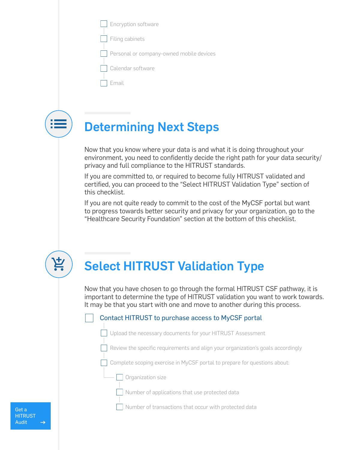| $\Box$ Encryption software |  |
|----------------------------|--|
|                            |  |

|  | Filing cabinets |
|--|-----------------|
|--|-----------------|

Personal or company-owned mobile devices

| Calendar software |  |
|-------------------|--|
|-------------------|--|

| ٠                               |  |
|---------------------------------|--|
| the contract of the contract of |  |



## Determining Next Steps

Now that you know where your data is and what it is doing throughout your environment, you need to confidently decide the right path for your data security/ privacy and full compliance to the HITRUST standards.

If you are committed to, or required to become fully HITRUST validated and certified, you can proceed to the "Select HITRUST Validation Type" section of this checklist.

If you are not quite ready to commit to the cost of the MyCSF portal but want to progress towards better security and privacy for your organization, go to the "Healthcare Security Foundation" section at the bottom of this checklist.



# Select HITRUST Validation Type

Now that you have chosen to go through the formal HITRUST CSF pathway, it is important to determine the type of HITRUST validation you want to work towards. It may be that you start with one and move to another during this process.

#### Contact HITRUST to purchase access to MyCSF portal

Upload the necessary documents for your HITRUST Assessment

Review the specific requirements and align your organization's goals accordingly

Complete scoping exercise in MyCSF portal to prepare for questions about:

**Organization size** 

Number of applications that use protected data

Number of transactions that occur with protected data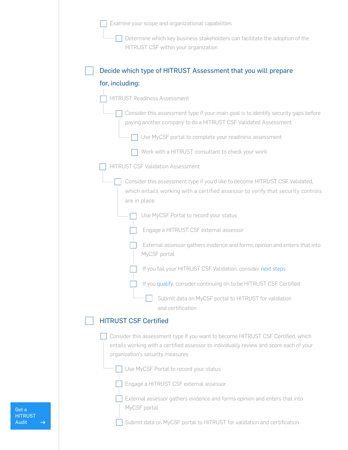Examine your scope and organizational capabilities

| $\Box$ Determine which key business stakeholders can facilitate the adoption of the |
|-------------------------------------------------------------------------------------|
| HITRUST CSF within your organization                                                |

| Decide which type of HITRUST Assessment that you will prepare                                                                                                                                                   |
|-----------------------------------------------------------------------------------------------------------------------------------------------------------------------------------------------------------------|
| for, including:                                                                                                                                                                                                 |
| <b>HITRUST Readiness Assessment</b>                                                                                                                                                                             |
| Consider this assessment type if your main goal is to identify security gaps before<br>paying another company to do a HITRUST CSF Validated Assessment                                                          |
| Use MyCSF portal to complete your readiness assessment                                                                                                                                                          |
| Work with a HITRUST consultant to check your work                                                                                                                                                               |
| <b>HITRUST CSF Validation Assessment</b>                                                                                                                                                                        |
| Consider this assessment type if you'd like to become HITRUST CSF Validated,<br>which entails working with a certified assessor to verify that security controls<br>are in place                                |
| Use MyCSF Portal to record your status                                                                                                                                                                          |
| Engage a HITRUST CSF external assessor                                                                                                                                                                          |
| External assessor gathers evidence and forms opinion and enters that into<br>MyCSF portal                                                                                                                       |
| If you fail your HITRUST CSF Validation, consider next steps                                                                                                                                                    |
| If you qualify, consider continuing on to be HITRUST CSF Certified                                                                                                                                              |
| Submit data on MyCSF portal to HITRUST for validation<br>and certification                                                                                                                                      |
| <b>HITRUST CSF Certified</b>                                                                                                                                                                                    |
| Consider this assessment type if you want to become HITRUST CSF Certified, which<br>entails working with a certified assessor to individually review and score each of your<br>organization's security measures |
| Use MyCSF Portal to record your status                                                                                                                                                                          |
| Engage a HITRUST CSF external assessor                                                                                                                                                                          |
| External assessor gathers evidence and forms opinion and enters that into<br>MyCSF portal                                                                                                                       |
| Submit data on MyCSF portal to HITRUST for validation and certification                                                                                                                                         |

[Get a](https://www.securitymetrics.com/hitrust)  [HITRUST](https://www.securitymetrics.com/hitrust)  [Audit](https://www.securitymetrics.com/hitrust)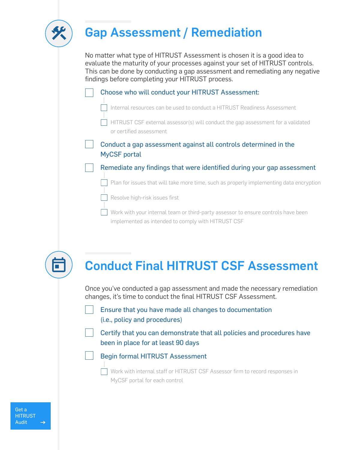

### Gap Assessment / Remediation

No matter what type of HITRUST Assessment is chosen it is a good idea to evaluate the maturity of your processes against your set of HITRUST controls. This can be done by conducting a gap assessment and remediating any negative findings before completing your HITRUST process.

| Choose who will conduct your HITRUST Assessment: |                                                                                                             |  |  |  |
|--------------------------------------------------|-------------------------------------------------------------------------------------------------------------|--|--|--|
|                                                  | Internal resources can be used to conduct a HITRUST Readiness Assessment                                    |  |  |  |
|                                                  | HITRUST CSF external assessor(s) will conduct the gap assessment for a validated<br>or certified assessment |  |  |  |
|                                                  | Conduct a gap assessment against all controls determined in the<br><b>MyCSF</b> portal                      |  |  |  |
|                                                  | Remediate any findings that were identified during your gap assessment                                      |  |  |  |
|                                                  | Plan for issues that will take more time, such as properly implementing data encryption                     |  |  |  |

Resolve high-risk issues first

Work with your internal team or third-party assessor to ensure controls have been implemented as intended to comply with HITRUST CSF



## Conduct Final HITRUST CSF Assessment

Once you've conducted a gap assessment and made the necessary remediation changes, it's time to conduct the final HITRUST CSF Assessment.

Ensure that you have made all changes to documentation (i.e., policy and procedures)

Certify that you can demonstrate that all policies and procedures have been in place for at least 90 days



Work with internal staff or HITRUST CSF Assessor firm to record responses in MyCSF portal for each control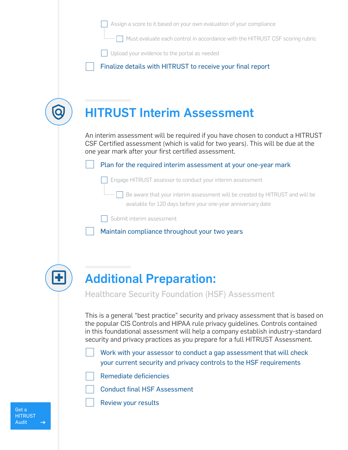Assign a score to it based on your own evaluation of your compliance

Must evaluate each control in accordance with the HITRUST CSF scoring rubric

Upload your evidence to the portal as needed

Finalize details with HITRUST to receive your final report

| An interim assessment will be required if you have chosen to conduct a HITRUST<br>CSF Certified assessment (which is valid for two years). This will be due at the<br>one year mark after your first certified assessment. |
|----------------------------------------------------------------------------------------------------------------------------------------------------------------------------------------------------------------------------|
| Plan for the required interim assessment at your one-year mark                                                                                                                                                             |
| Engage HITRUST assessor to conduct your interim assessment                                                                                                                                                                 |
| Be aware that your interim assessment will be created by HITRUST and will be<br>available for 120 days before your one-year anniversary date                                                                               |
| Submit interim assessment                                                                                                                                                                                                  |
| Maintain compliance throughout your two years                                                                                                                                                                              |

Additional Preparation: Healthcare Security Foundation (HSF) Assessment

This is a general "best practice" security and privacy assessment that is based on the popular CIS Controls and HIPAA rule privacy guidelines. Controls contained in this foundational assessment will help a company establish industry-standard security and privacy practices as you prepare for a full HITRUST Assessment.

Work with your assessor to conduct a gap assessment that will check your current security and privacy controls to the HSF requirements

|  | Remediate deficiencies |  |
|--|------------------------|--|
|  |                        |  |

- Conduct final HSF Assessment
	- Review your results